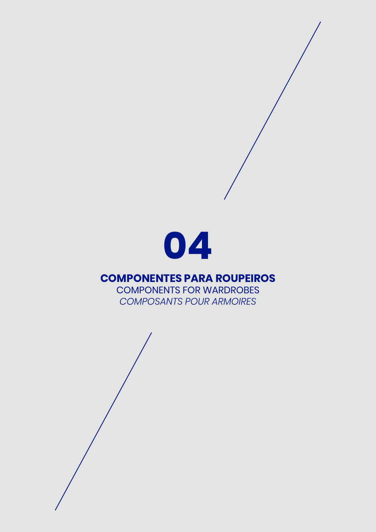

#### **COMPONENTES PARA ROUPEIROS**

COMPONENTS FOR WARDROBES *COMPOSANTS POUR ARMOIRES*

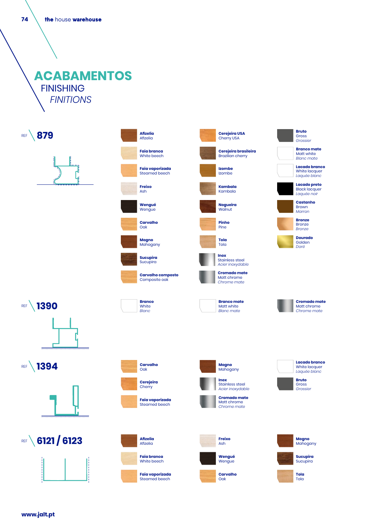**74**

## **ACABAMENTOS** FINISHING *FINITIONS*



**www.jalt.pt**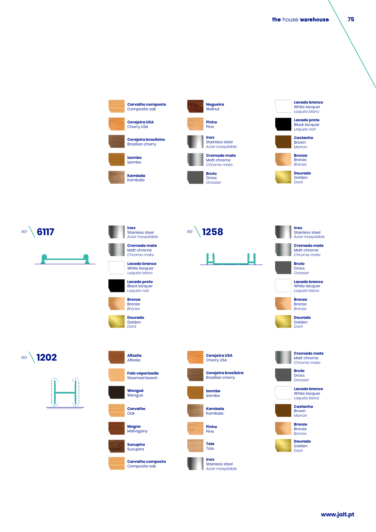

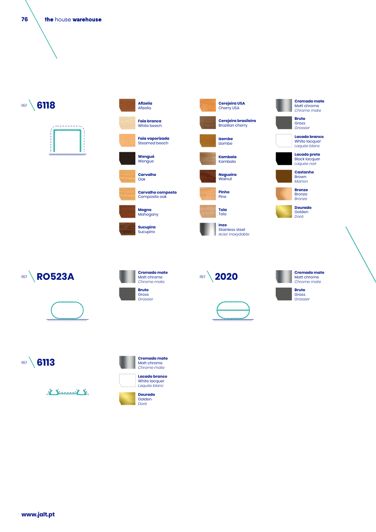**76** the house warehouse

REF **6118** 





**Afizelia**





**Bruto** Gross

**Cromado mate** Matt chrome *Chrome mate*













**REF** 6113

| Chrome mate                                           |
|-------------------------------------------------------|
| Lacado branco<br><b>White lacquer</b><br>Laquée blanc |
| Dourado<br>Golden<br>Doré                             |

**Cromado mate** Matt chrome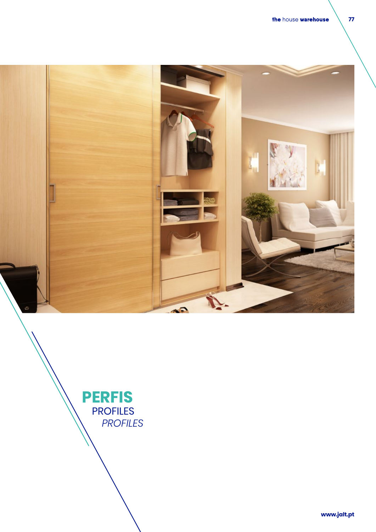



**www.jalt.pt www.jalt.pt**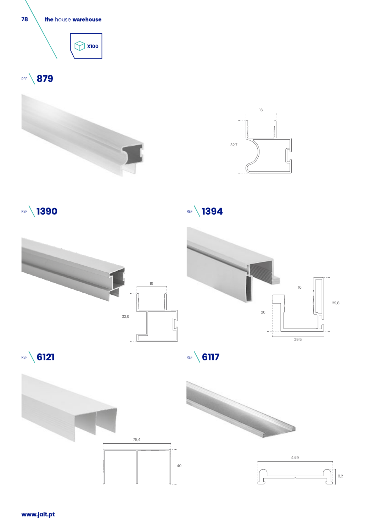

**www.jalt.pt**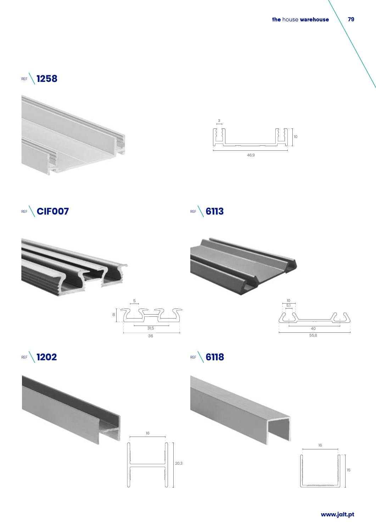## REF **1258**





















**79**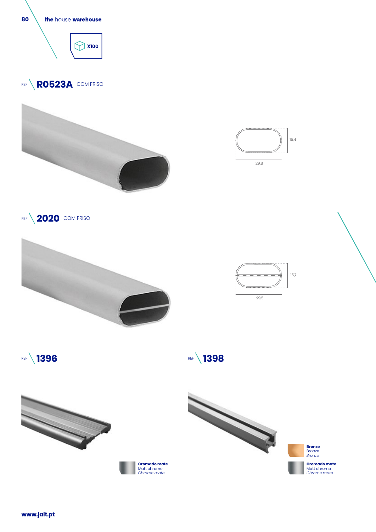

**www.jalt.pt**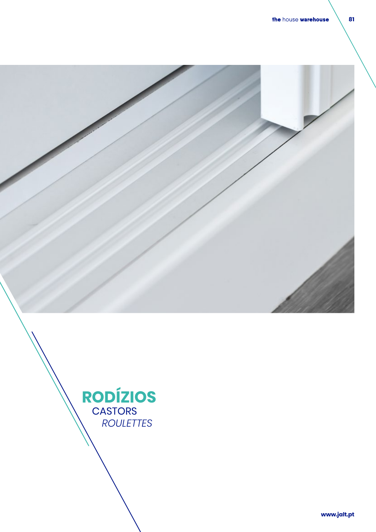



**www.jalt.pt www.jalt.pt**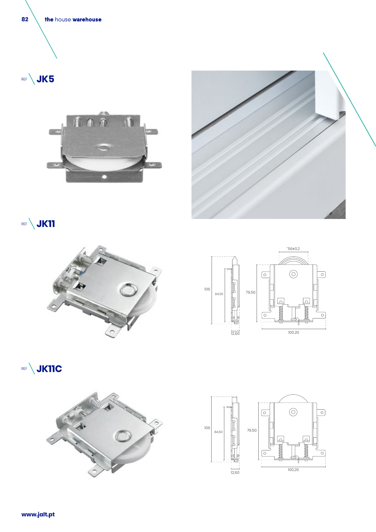

REF **JK5**





**REF JK11** 









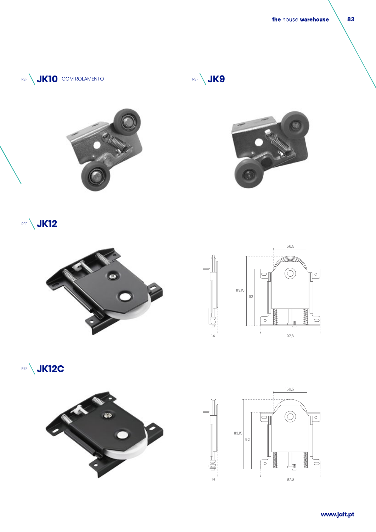







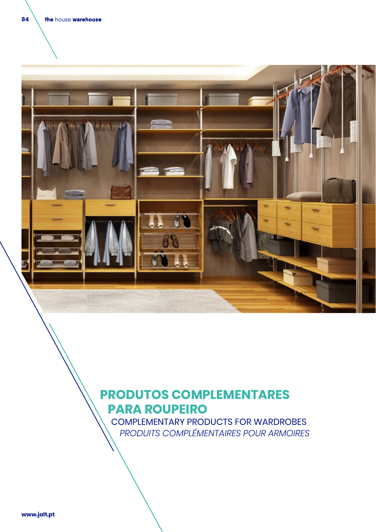

# **PRODUTOS COMPLEMENTARES PARA ROUPEIRO**

 COMPLEMENTARY PRODUCTS FOR WARDROBES *PRODUITS COMPLÉMENTAIRES POUR ARMOIRES*